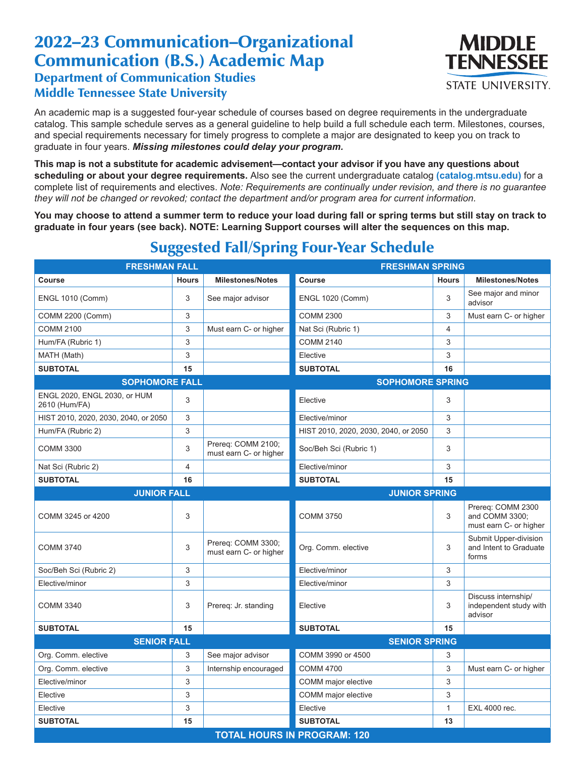## 2022–23 Communication–Organizational Communication (B.S.) Academic Map Department of Communication Studies Middle Tennessee State University



An academic map is a suggested four-year schedule of courses based on degree requirements in the undergraduate catalog. This sample schedule serves as a general guideline to help build a full schedule each term. Milestones, courses, and special requirements necessary for timely progress to complete a major are designated to keep you on track to graduate in four years. *Missing milestones could delay your program.*

**This map is not a substitute for academic advisement—contact your advisor if you have any questions about scheduling or about your degree requirements.** Also see the current undergraduate catalog **(catalog.mtsu.edu)** for a complete list of requirements and electives. *Note: Requirements are continually under revision, and there is no guarantee they will not be changed or revoked; contact the department and/or program area for current information.*

**You may choose to attend a summer term to reduce your load during fall or spring terms but still stay on track to graduate in four years (see back). NOTE: Learning Support courses will alter the sequences on this map.**

| <b>FRESHMAN FALL</b>                          |                |                                              | <b>FRESHMAN SPRING</b>               |                |                                                               |  |  |  |
|-----------------------------------------------|----------------|----------------------------------------------|--------------------------------------|----------------|---------------------------------------------------------------|--|--|--|
| Course                                        | <b>Hours</b>   | <b>Milestones/Notes</b>                      | <b>Course</b>                        | <b>Hours</b>   | <b>Milestones/Notes</b>                                       |  |  |  |
| <b>ENGL 1010 (Comm)</b>                       | 3              | See major advisor                            | <b>ENGL 1020 (Comm)</b>              | 3              | See major and minor<br>advisor                                |  |  |  |
| COMM 2200 (Comm)                              | 3              |                                              | <b>COMM 2300</b>                     | 3              | Must earn C- or higher                                        |  |  |  |
| <b>COMM 2100</b>                              | 3              | Must earn C- or higher                       | Nat Sci (Rubric 1)                   | $\overline{4}$ |                                                               |  |  |  |
| Hum/FA (Rubric 1)                             | 3              |                                              | <b>COMM 2140</b>                     | 3              |                                                               |  |  |  |
| MATH (Math)                                   | 3              |                                              | Elective                             | 3              |                                                               |  |  |  |
| <b>SUBTOTAL</b>                               | 15             |                                              | <b>SUBTOTAL</b>                      | 16             |                                                               |  |  |  |
| <b>SOPHOMORE FALL</b>                         |                | <b>SOPHOMORE SPRING</b>                      |                                      |                |                                                               |  |  |  |
| ENGL 2020, ENGL 2030, or HUM<br>2610 (Hum/FA) | 3              |                                              | Elective                             | 3              |                                                               |  |  |  |
| HIST 2010, 2020, 2030, 2040, or 2050          | 3              |                                              | Elective/minor                       | 3              |                                                               |  |  |  |
| Hum/FA (Rubric 2)                             | 3              |                                              | HIST 2010, 2020, 2030, 2040, or 2050 | 3              |                                                               |  |  |  |
| <b>COMM 3300</b>                              | 3              | Prereq: COMM 2100;<br>must earn C- or higher | Soc/Beh Sci (Rubric 1)               | 3              |                                                               |  |  |  |
| Nat Sci (Rubric 2)                            | $\overline{4}$ |                                              | Elective/minor                       | 3              |                                                               |  |  |  |
| <b>SUBTOTAL</b>                               | 16             |                                              | <b>SUBTOTAL</b>                      | 15             |                                                               |  |  |  |
| <b>JUNIOR FALL</b>                            |                |                                              | <b>JUNIOR SPRING</b>                 |                |                                                               |  |  |  |
| COMM 3245 or 4200                             | 3              |                                              | <b>COMM 3750</b>                     | 3              | Prereg: COMM 2300<br>and COMM 3300;<br>must earn C- or higher |  |  |  |
| <b>COMM 3740</b>                              | 3              | Prereq: COMM 3300;<br>must earn C- or higher | Org. Comm. elective                  | 3              | Submit Upper-division<br>and Intent to Graduate<br>forms      |  |  |  |
| Soc/Beh Sci (Rubric 2)                        | 3              |                                              | Elective/minor                       | 3              |                                                               |  |  |  |
| Elective/minor                                | 3              |                                              | Elective/minor                       | 3              |                                                               |  |  |  |
| <b>COMM 3340</b>                              | 3              | Prereq: Jr. standing                         | Elective                             | 3              | Discuss internship/<br>independent study with<br>advisor      |  |  |  |
| <b>SUBTOTAL</b>                               | 15             |                                              | <b>SUBTOTAL</b>                      | 15             |                                                               |  |  |  |
| <b>SENIOR FALL</b>                            |                |                                              | <b>SENIOR SPRING</b>                 |                |                                                               |  |  |  |
| Org. Comm. elective                           | 3              | See major advisor                            | COMM 3990 or 4500                    | 3              |                                                               |  |  |  |
| Org. Comm. elective                           | 3              | Internship encouraged                        | <b>COMM 4700</b>                     | 3              | Must earn C- or higher                                        |  |  |  |
| Elective/minor                                | 3              |                                              | COMM major elective                  | 3              |                                                               |  |  |  |
| Elective                                      | 3              |                                              | COMM major elective                  | 3              |                                                               |  |  |  |
| Elective                                      | 3              |                                              | Elective                             | $\mathbf{1}$   | EXL 4000 rec.                                                 |  |  |  |
| <b>SUBTOTAL</b>                               | 15             |                                              | <b>SUBTOTAL</b>                      | 13             |                                                               |  |  |  |
| <b>TOTAL HOURS IN PROGRAM: 120</b>            |                |                                              |                                      |                |                                                               |  |  |  |

## Suggested Fall/Spring Four-Year Schedule